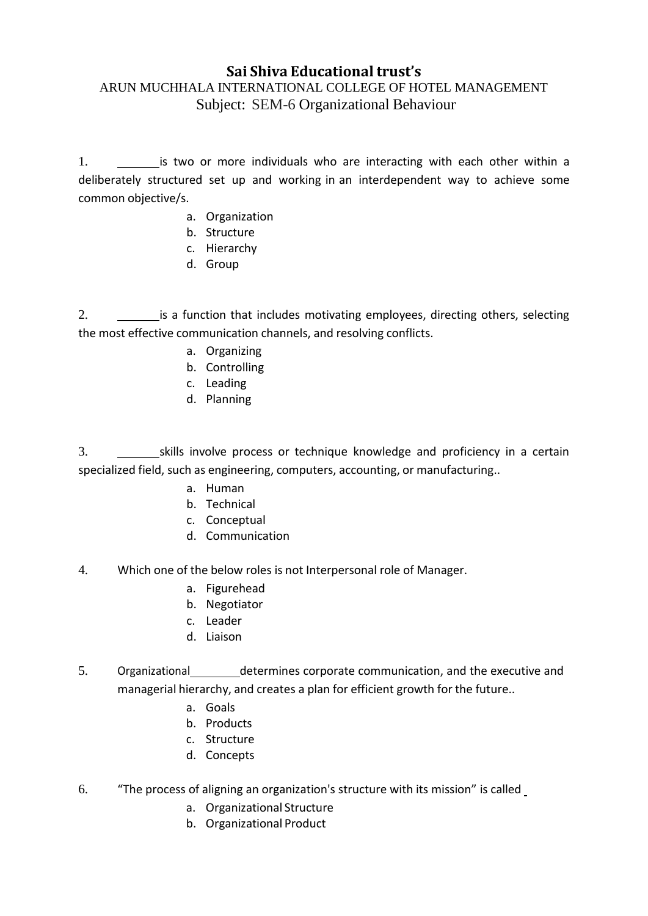# **Sai Shiva Educational trust's**

## ARUN MUCHHALA INTERNATIONAL COLLEGE OF HOTEL MANAGEMENT Subject: SEM-6 Organizational Behaviour

1. is two or more individuals who are interacting with each other within a deliberately structured set up and working in an interdependent way to achieve some common objective/s.

- a. Organization
- b. Structure
- c. Hierarchy
- d. Group

2. **inclust 2.** is a function that includes motivating employees, directing others, selecting the most effective communication channels, and resolving conflicts.

- a. Organizing
- b. Controlling
- c. Leading
- d. Planning

3. Skills involve process or technique knowledge and proficiency in a certain specialized field, such as engineering, computers, accounting, or manufacturing..

- a. Human
- b. Technical
- c. Conceptual
- d. Communication
- 4. Which one of the below roles is not Interpersonal role of Manager.
	- a. Figurehead
	- b. Negotiator
	- c. Leader
	- d. Liaison
- 5. Organizational determines corporate communication, and the executive and managerial hierarchy, and creates a plan for efficient growth for the future..
	- a. Goals
	- b. Products
	- c. Structure
	- d. Concepts
- 6. "The process of aligning an organization's structure with its mission" is called
	- a. Organizational Structure
	- b. Organizational Product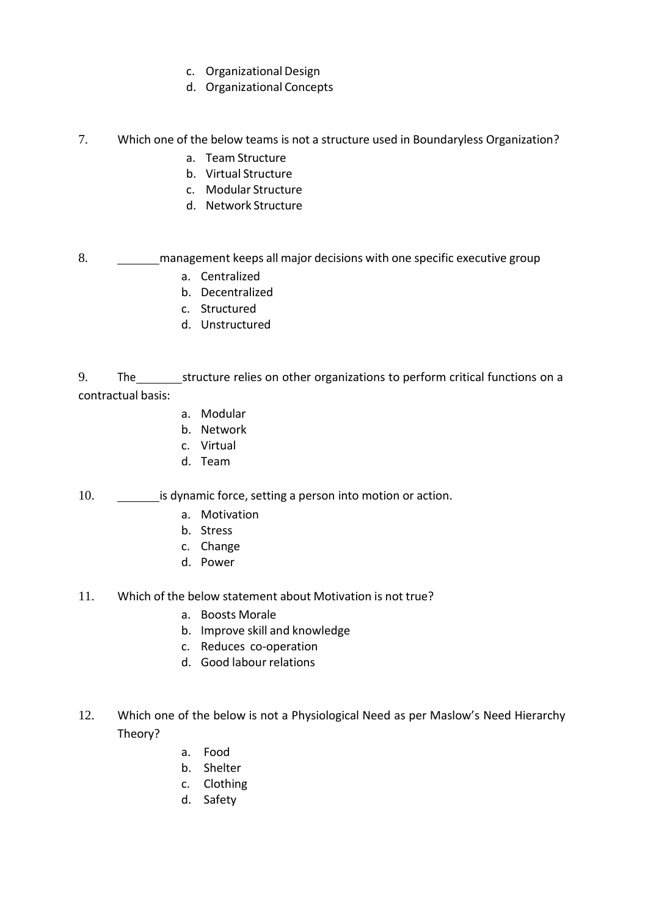- c. Organizational Design
- d. Organizational Concepts
- 7. Which one of the below teams is not a structure used in Boundaryless Organization?
	- a. Team Structure
	- b. Virtual Structure
	- c. Modular Structure
	- d. Network Structure

#### 8. management keeps all major decisions with one specific executive group

- a. Centralized
- b. Decentralized
- c. Structured
- d. Unstructured

9. The structure relies on other organizations to perform critical functions on a contractual basis:

- a. Modular
- b. Network
- c. Virtual
- d. Team
- 10. **is dynamic force, setting a person into motion or action.** 
	- a. Motivation
	- b. Stress
	- c. Change
	- d. Power
- 11. Which of the below statement about Motivation is not true?
	- a. Boosts Morale
	- b. Improve skill and knowledge
	- c. Reduces co-operation
	- d. Good labour relations
- 12. Which one of the below is not a Physiological Need as per Maslow's Need Hierarchy Theory?
	- a. Food
	- b. Shelter
	- c. Clothing
	- d. Safety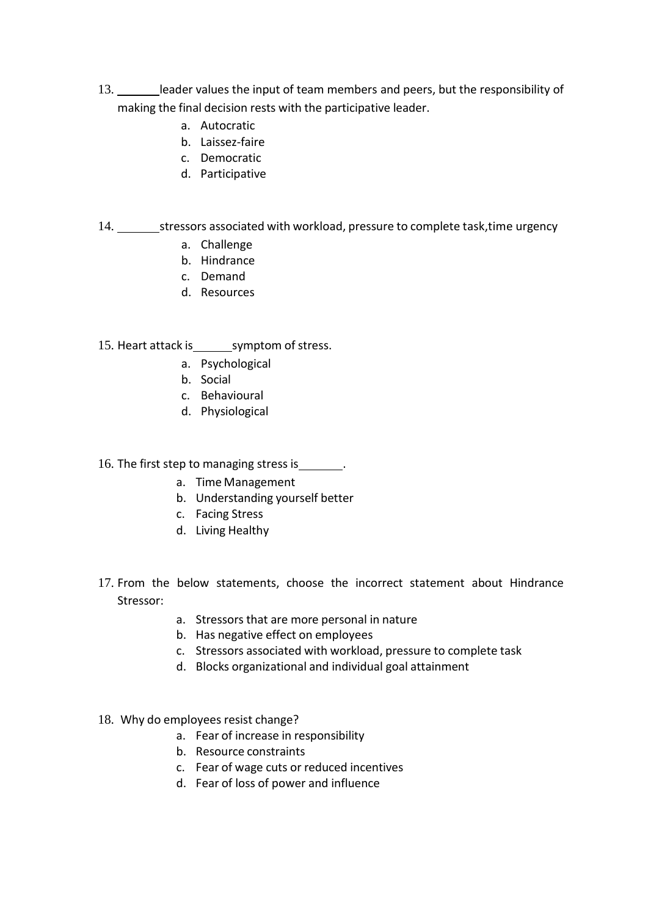- 13. leader values the input of team members and peers, but the responsibility of making the final decision rests with the participative leader.
	- a. Autocratic
	- b. Laissez-faire
	- c. Democratic
	- d. Participative

### 14. stressors associated with workload, pressure to complete task, time urgency

- a. Challenge
- b. Hindrance
- c. Demand
- d. Resources

### 15. Heart attack is symptom of stress.

- a. Psychological
- b. Social
- c. Behavioural
- d. Physiological

### 16. The first step to managing stress is \_\_\_\_\_\_\_.

- a. Time Management
- b. Understanding yourself better
- c. Facing Stress
- d. Living Healthy
- 17. From the below statements, choose the incorrect statement about Hindrance Stressor:
	- a. Stressors that are more personal in nature
	- b. Has negative effect on employees
	- c. Stressors associated with workload, pressure to complete task
	- d. Blocks organizational and individual goal attainment
- 18. Why do employees resist change?
	- a. Fear of increase in responsibility
	- b. Resource constraints
	- c. Fear of wage cuts or reduced incentives
	- d. Fear of loss of power and influence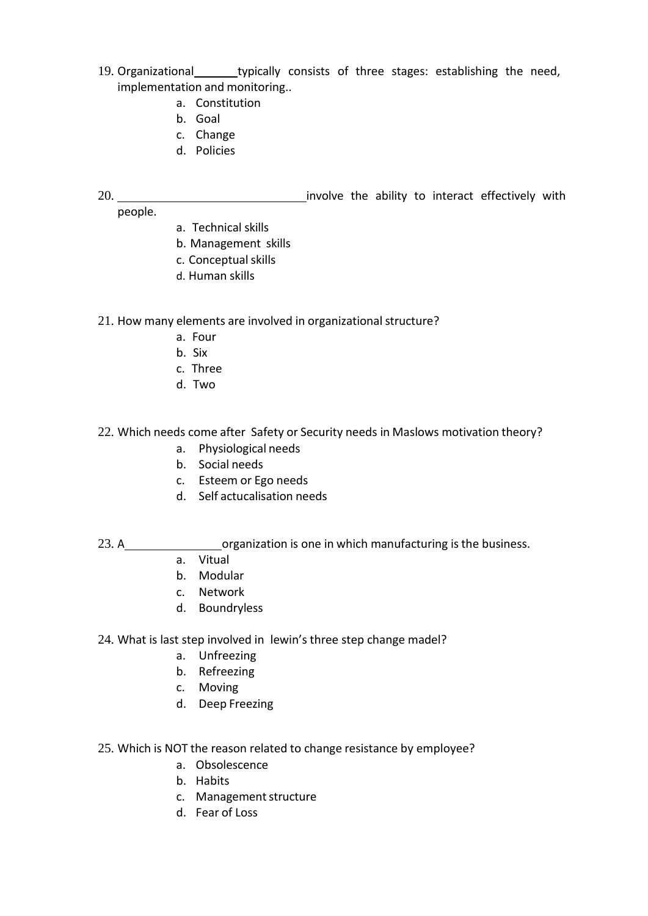- 19. Organizational typically consists of three stages: establishing the need, implementation and monitoring..
	- a. Constitution
	- b. Goal
	- c. Change
	- d. Policies
- 20. involve the ability to interact effectively with people.
	- a. Technical skills
	- b. Management skills
	- c. Conceptual skills
	- d. Human skills

#### 21. How many elements are involved in organizational structure?

- a. Four
- b. Six
- c. Three
- d. Two

#### 22. Which needs come after Safety or Security needs in Maslows motivation theory?

- a. Physiological needs
- b. Social needs
- c. Esteem or Ego needs
- d. Self actucalisation needs

### 23. A\_\_\_\_\_\_\_\_\_\_\_\_\_\_\_\_\_\_\_\_\_\_organization is one in which manufacturing is the business.

- a. Vitual
- b. Modular
- c. Network
- d. Boundryless

### 24. What is last step involved in lewin's three step change madel?

- a. Unfreezing
- b. Refreezing
- c. Moving
- d. Deep Freezing

#### 25. Which is NOT the reason related to change resistance by employee?

- a. Obsolescence
- b. Habits
- c. Management structure
- d. Fear of Loss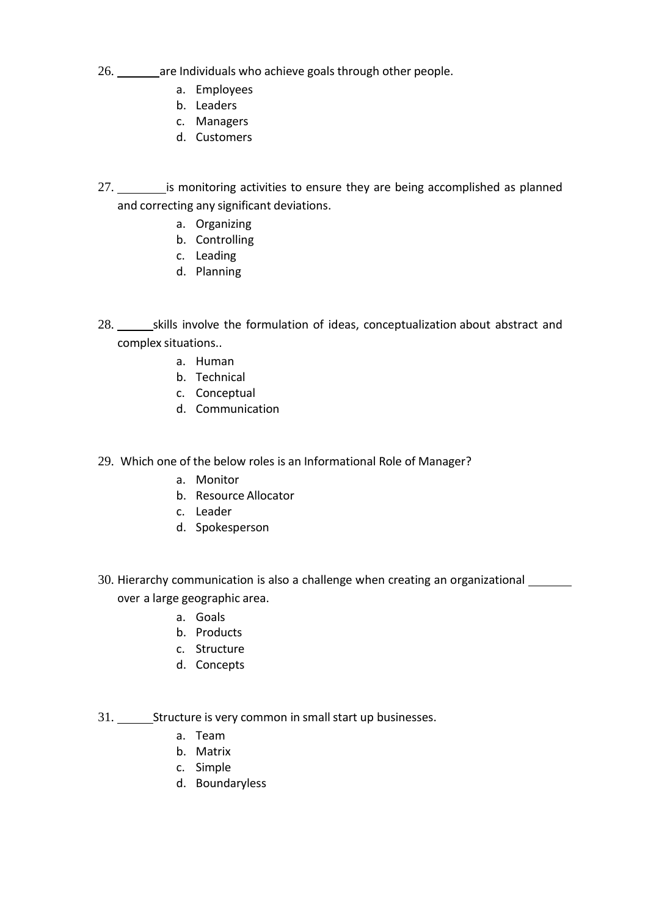- 26. \_\_\_\_\_\_\_ are Individuals who achieve goals through other people.
	- a. Employees
	- b. Leaders
	- c. Managers
	- d. Customers
- 27. is monitoring activities to ensure they are being accomplished as planned and correcting any significant deviations.
	- a. Organizing
		- b. Controlling
		- c. Leading
		- d. Planning
- 28. \_\_\_\_\_\_\_\_skills involve the formulation of ideas, conceptualization about abstract and complex situations..
	- a. Human
		- b. Technical
	- c. Conceptual
	- d. Communication
- 29. Which one of the below roles is an Informational Role of Manager?
	- a. Monitor
	- b. Resource Allocator
	- c. Leader
	- d. Spokesperson
- 30. Hierarchy communication is also a challenge when creating an organizational over a large geographic area.
	- a. Goals
	- b. Products
	- c. Structure
	- d. Concepts
- 31. Structure is very common in small start up businesses.
	- a. Team
	- b. Matrix
	- c. Simple
	- d. Boundaryless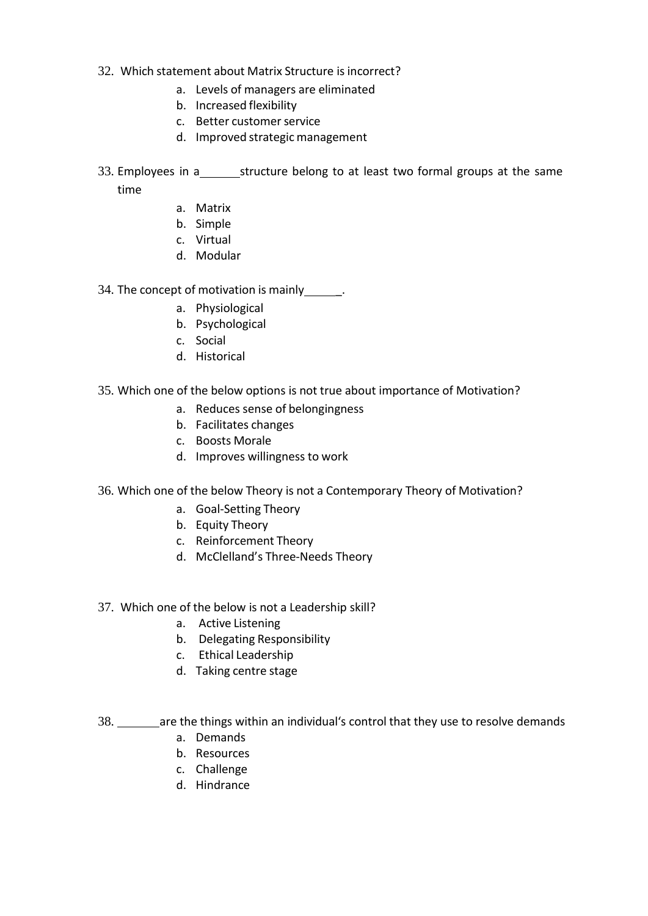- 32. Which statement about Matrix Structure is incorrect?
	- a. Levels of managers are eliminated
	- b. Increased flexibility
	- c. Better customer service
	- d. Improved strategic management
- 33. Employees in a\_\_\_\_\_\_\_\_\_\_structure belong to at least two formal groups at the same time
	- a. Matrix
	- b. Simple
	- c. Virtual
	- d. Modular
- 34. The concept of motivation is mainly\_\_\_\_\_\_.
	- a. Physiological
	- b. Psychological
	- c. Social
	- d. Historical
- 35. Which one of the below options is not true about importance of Motivation?
	- a. Reduces sense of belongingness
	- b. Facilitates changes
	- c. Boosts Morale
	- d. Improves willingness to work
- 36. Which one of the below Theory is not a Contemporary Theory of Motivation?
	- a. Goal-Setting Theory
	- b. Equity Theory
	- c. Reinforcement Theory
	- d. McClelland's Three-Needs Theory
- 37. Which one of the below is not a Leadership skill?
	- a. Active Listening
	- b. Delegating Responsibility
	- c. Ethical Leadership
	- d. Taking centre stage
- 38. are the things within an individual's control that they use to resolve demands
	- a. Demands
	- b. Resources
	- c. Challenge
	- d. Hindrance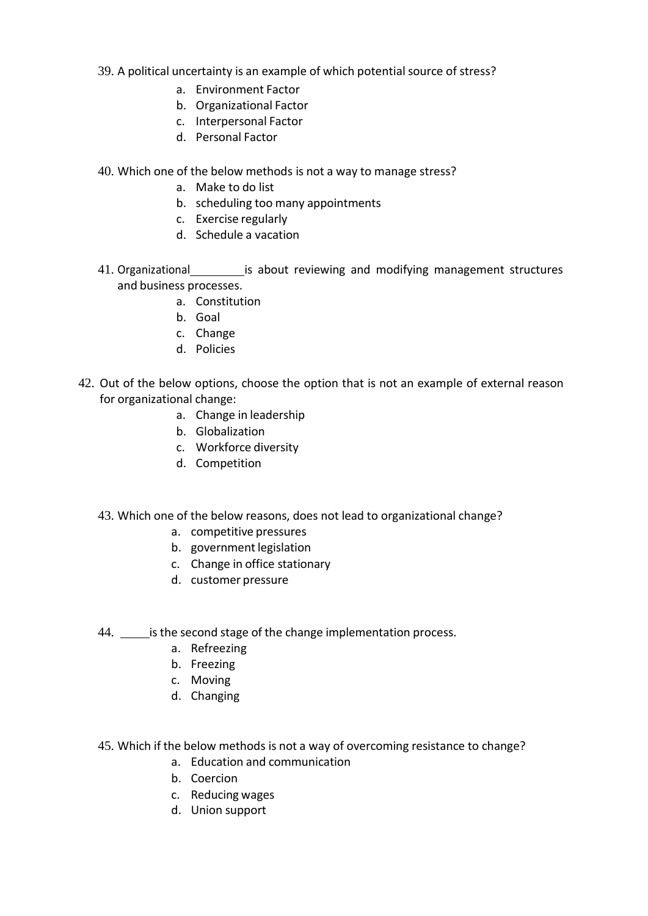- 39. A political uncertainty is an example of which potential source of stress?
	- a. Environment Factor
	- b. Organizational Factor
	- c. Interpersonal Factor
	- d. Personal Factor
- 40. Which one of the below methods is not a way to manage stress?
	- a. Make to do list
	- b. scheduling too many appointments
	- c. Exercise regularly
	- d. Schedule a vacation
- 41. Organizational \_\_\_\_\_\_\_\_\_\_\_ is about reviewing and modifying management structures and business processes.
	- a. Constitution
	- b. Goal
	- c. Change
	- d. Policies
- 42. Out of the below options, choose the option that is not an example of external reason for organizational change:
	- a. Change in leadership
	- b. Globalization
	- c. Workforce diversity
	- d. Competition
	- 43. Which one of the below reasons, does not lead to organizational change?
		- a. competitive pressures
		- b. government legislation
		- c. Change in office stationary
		- d. customer pressure
	- 44. \_\_\_\_\_ is the second stage of the change implementation process.
		- a. Refreezing
		- b. Freezing
		- c. Moving
		- d. Changing
	- 45. Which if the below methods is not a way of overcoming resistance to change?
		- a. Education and communication
		- b. Coercion
		- c. Reducing wages
		- d. Union support